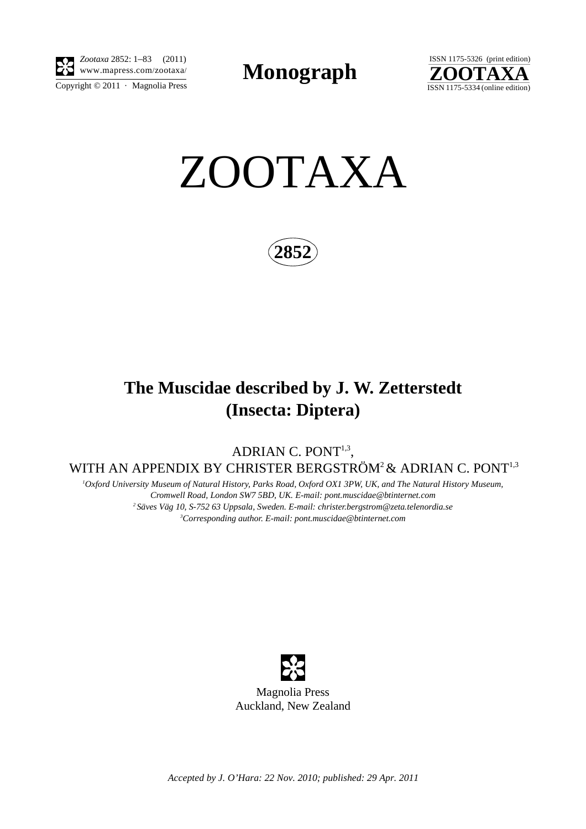

Copyright  $\odot$  2011 · Magnolia Press *Zootaxa* 2852: 1–83 (2011)

**Monograph** 



ZOOTAXA

**2852**

## **The Muscidae described by J. W. Zetterstedt (Insecta: Diptera)**

ADRIAN C. PONT<sup>1,3</sup>, WITH AN APPENDIX BY CHRISTER BERGSTRÖM<sup>2</sup> & ADRIAN C. PONT<sup>1,3</sup>

*1 Oxford University Museum of Natural History, Parks Road, Oxford OX1 3PW, UK, and The Natural History Museum, Cromwell Road, London SW7 5BD, UK. E-mail: [pont.muscidae@btinternet.com](mailto:pont.muscidae@btinternet.com) 2 Säves Väg 10, S-752 63 Uppsala, Sweden. E-mail: christer.bergstrom@zeta.telenordia.se 3 Corresponding author. E-mail: pont.muscidae@btinternet.com*



*Accepted by J. O'Hara: 22 Nov. 2010; published: 29 Apr. 2011*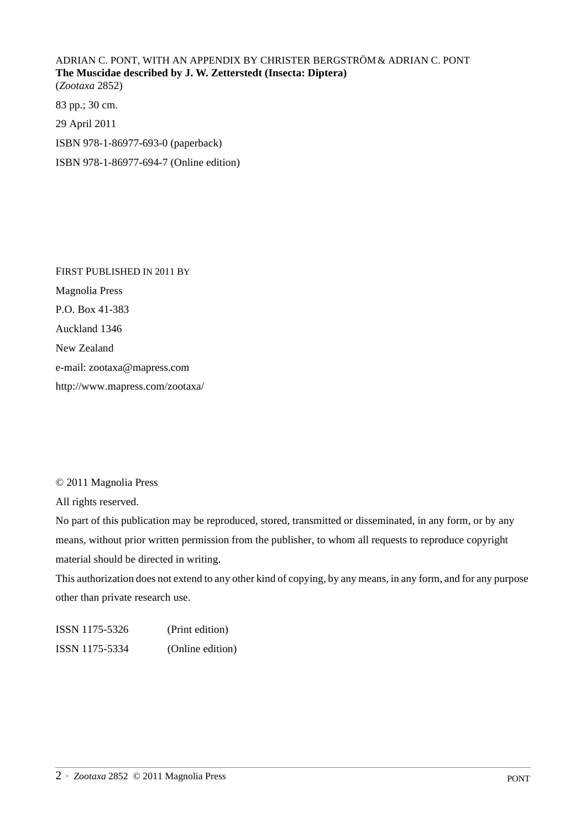ADRIAN C. PONT, WITH AN APPENDIX BY CHRISTER BERGSTRÖM& ADRIAN C. PONT **The Muscidae described by J. W. Zetterstedt (Insecta: Diptera)** (*Zootaxa* 2852) 83 pp.; 30 cm.

29 April 2011 ISBN 978-1-86977-693-0 (paperback)

ISBN 978-1-86977-694-7 (Online edition)

FIRST PUBLISHED IN 2011 BY Magnolia Press P.O. Box 41-383 Auckland 1346 New Zealand e-mail: zootaxa@mapress.com http://www.mapress.com/zootaxa/

© 2011 Magnolia Press

All rights reserved.

No part of this publication may be reproduced, stored, transmitted or disseminated, in any form, or by any means, without prior written permission from the publisher, to whom all requests to reproduce copyright material should be directed in writing.

This authorization does not extend to any other kind of copying, by any means, in any form, and for any purpose other than private research use.

ISSN 1175-5326 (Print edition) ISSN 1175-5334 (Online edition)